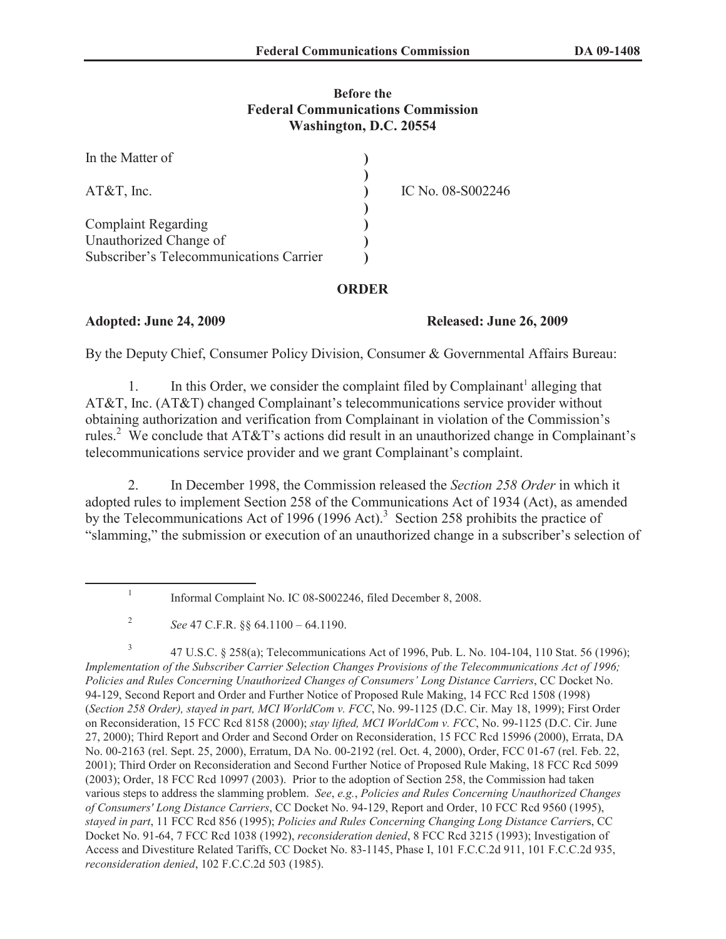#### **Before the Federal Communications Commission Washington, D.C. 20554**

| In the Matter of                        |                   |
|-----------------------------------------|-------------------|
| $AT&T$ , Inc.                           | IC No. 08-S002246 |
|                                         |                   |
| <b>Complaint Regarding</b>              |                   |
| Unauthorized Change of                  |                   |
| Subscriber's Telecommunications Carrier |                   |

## **ORDER**

## **Adopted: June 24, 2009 Released: June 26, 2009**

By the Deputy Chief, Consumer Policy Division, Consumer & Governmental Affairs Bureau:

1. In this Order, we consider the complaint filed by Complainant<sup>1</sup> alleging that AT&T, Inc. (AT&T) changed Complainant's telecommunications service provider without obtaining authorization and verification from Complainant in violation of the Commission's rules.<sup>2</sup> We conclude that AT&T's actions did result in an unauthorized change in Complainant's telecommunications service provider and we grant Complainant's complaint.

2. In December 1998, the Commission released the *Section 258 Order* in which it adopted rules to implement Section 258 of the Communications Act of 1934 (Act), as amended by the Telecommunications Act of 1996 (1996 Act).<sup>3</sup> Section 258 prohibits the practice of "slamming," the submission or execution of an unauthorized change in a subscriber's selection of

3 47 U.S.C. § 258(a); Telecommunications Act of 1996, Pub. L. No. 104-104, 110 Stat. 56 (1996); *Implementation of the Subscriber Carrier Selection Changes Provisions of the Telecommunications Act of 1996; Policies and Rules Concerning Unauthorized Changes of Consumers' Long Distance Carriers*, CC Docket No. 94-129, Second Report and Order and Further Notice of Proposed Rule Making, 14 FCC Rcd 1508 (1998) (*Section 258 Order), stayed in part, MCI WorldCom v. FCC*, No. 99-1125 (D.C. Cir. May 18, 1999); First Order on Reconsideration, 15 FCC Rcd 8158 (2000); *stay lifted, MCI WorldCom v. FCC*, No. 99-1125 (D.C. Cir. June 27, 2000); Third Report and Order and Second Order on Reconsideration, 15 FCC Rcd 15996 (2000), Errata, DA No. 00-2163 (rel. Sept. 25, 2000), Erratum, DA No. 00-2192 (rel. Oct. 4, 2000), Order, FCC 01-67 (rel. Feb. 22, 2001); Third Order on Reconsideration and Second Further Notice of Proposed Rule Making, 18 FCC Rcd 5099 (2003); Order, 18 FCC Rcd 10997 (2003). Prior to the adoption of Section 258, the Commission had taken various steps to address the slamming problem. *See*, *e.g.*, *Policies and Rules Concerning Unauthorized Changes of Consumers' Long Distance Carriers*, CC Docket No. 94-129, Report and Order, 10 FCC Rcd 9560 (1995), *stayed in part*, 11 FCC Rcd 856 (1995); *Policies and Rules Concerning Changing Long Distance Carrier*s, CC Docket No. 91-64, 7 FCC Rcd 1038 (1992), *reconsideration denied*, 8 FCC Rcd 3215 (1993); Investigation of Access and Divestiture Related Tariffs, CC Docket No. 83-1145, Phase I, 101 F.C.C.2d 911, 101 F.C.C.2d 935, *reconsideration denied*, 102 F.C.C.2d 503 (1985).

<sup>1</sup> Informal Complaint No. IC 08-S002246, filed December 8, 2008.

<sup>2</sup> *See* 47 C.F.R. §§ 64.1100 – 64.1190.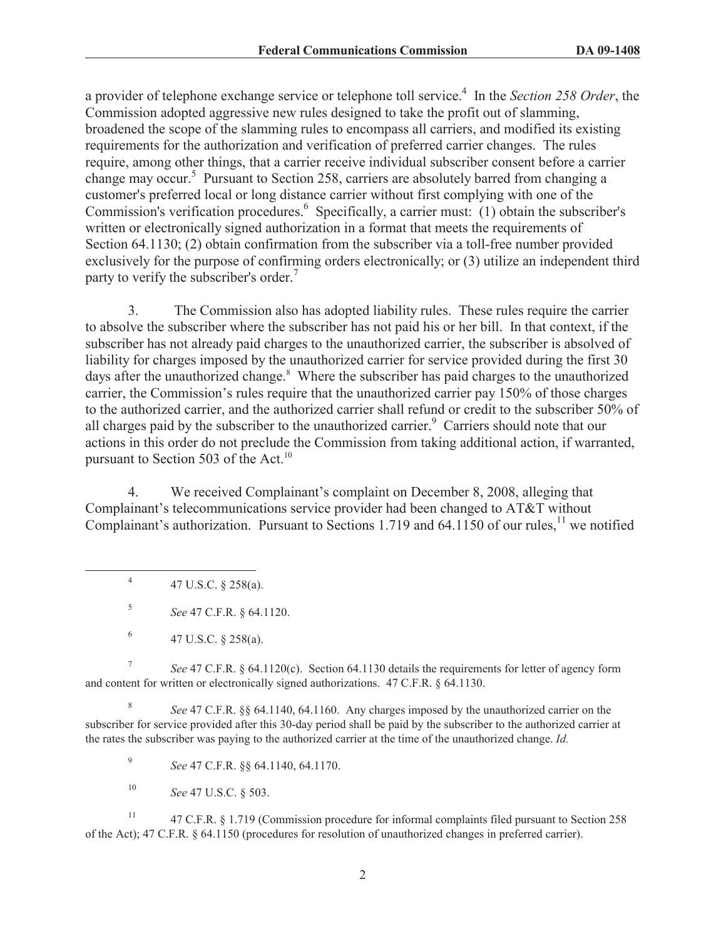a provider of telephone exchange service or telephone toll service.<sup>4</sup> In the *Section 258 Order*, the Commission adopted aggressive new rules designed to take the profit out of slamming, broadened the scope of the slamming rules to encompass all carriers, and modified its existing requirements for the authorization and verification of preferred carrier changes. The rules require, among other things, that a carrier receive individual subscriber consent before a carrier change may occur.<sup>5</sup> Pursuant to Section 258, carriers are absolutely barred from changing a customer's preferred local or long distance carrier without first complying with one of the Commission's verification procedures.<sup>6</sup> Specifically, a carrier must: (1) obtain the subscriber's written or electronically signed authorization in a format that meets the requirements of Section 64.1130; (2) obtain confirmation from the subscriber via a toll-free number provided exclusively for the purpose of confirming orders electronically; or (3) utilize an independent third party to verify the subscriber's order.<sup>7</sup>

3. The Commission also has adopted liability rules. These rules require the carrier to absolve the subscriber where the subscriber has not paid his or her bill. In that context, if the subscriber has not already paid charges to the unauthorized carrier, the subscriber is absolved of liability for charges imposed by the unauthorized carrier for service provided during the first 30 days after the unauthorized change.<sup>8</sup> Where the subscriber has paid charges to the unauthorized carrier, the Commission's rules require that the unauthorized carrier pay 150% of those charges to the authorized carrier, and the authorized carrier shall refund or credit to the subscriber 50% of all charges paid by the subscriber to the unauthorized carrier.<sup>9</sup> Carriers should note that our actions in this order do not preclude the Commission from taking additional action, if warranted, pursuant to Section 503 of the Act. $^{10}$ 

4. We received Complainant's complaint on December 8, 2008, alleging that Complainant's telecommunications service provider had been changed to AT&T without Complainant's authorization. Pursuant to Sections 1.719 and 64.1150 of our rules,<sup>11</sup> we notified

4 47 U.S.C. § 258(a).

5 *See* 47 C.F.R. § 64.1120.

7 *See* 47 C.F.R. § 64.1120(c). Section 64.1130 details the requirements for letter of agency form and content for written or electronically signed authorizations. 47 C.F.R. § 64.1130.

8 *See* 47 C.F.R. §§ 64.1140, 64.1160. Any charges imposed by the unauthorized carrier on the subscriber for service provided after this 30-day period shall be paid by the subscriber to the authorized carrier at the rates the subscriber was paying to the authorized carrier at the time of the unauthorized change. *Id.*

9 *See* 47 C.F.R. §§ 64.1140, 64.1170.

<sup>10</sup> *See* 47 U.S.C. § 503.

<sup>11</sup> 47 C.F.R. § 1.719 (Commission procedure for informal complaints filed pursuant to Section 258 of the Act); 47 C.F.R. § 64.1150 (procedures for resolution of unauthorized changes in preferred carrier).

<sup>6</sup> 47 U.S.C. § 258(a).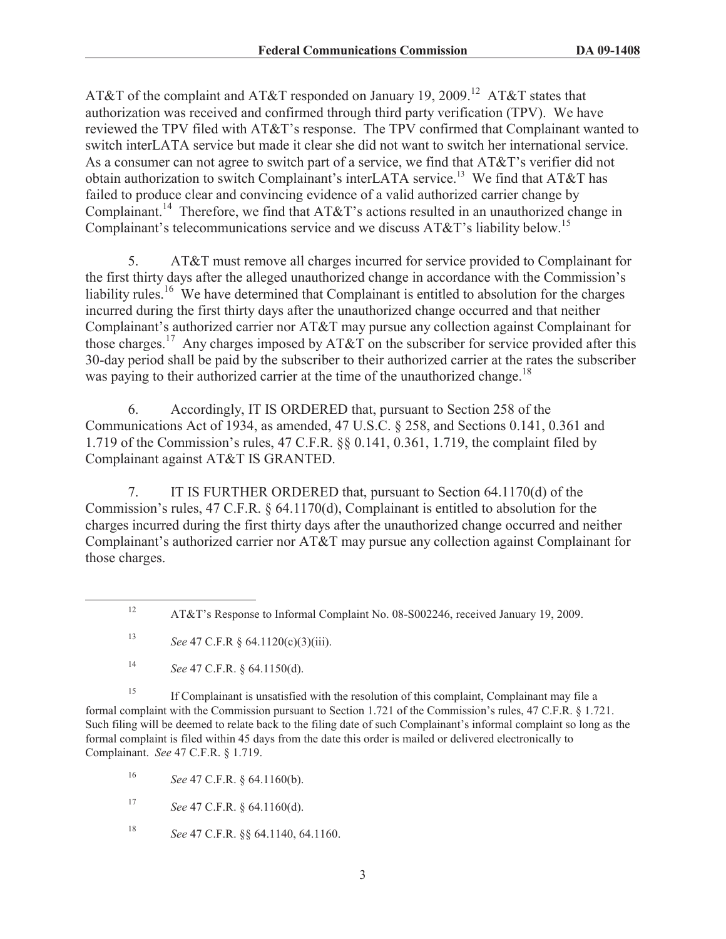AT&T of the complaint and AT&T responded on January 19, 2009.<sup>12</sup> AT&T states that authorization was received and confirmed through third party verification (TPV). We have reviewed the TPV filed with AT&T's response. The TPV confirmed that Complainant wanted to switch interLATA service but made it clear she did not want to switch her international service. As a consumer can not agree to switch part of a service, we find that AT&T's verifier did not obtain authorization to switch Complainant's interLATA service.<sup>13</sup> We find that AT&T has failed to produce clear and convincing evidence of a valid authorized carrier change by Complainant.<sup>14</sup> Therefore, we find that AT&T's actions resulted in an unauthorized change in Complainant's telecommunications service and we discuss  $AT&T$ 's liability below.<sup>15</sup>

5. AT&T must remove all charges incurred for service provided to Complainant for the first thirty days after the alleged unauthorized change in accordance with the Commission's liability rules.<sup>16</sup> We have determined that Complainant is entitled to absolution for the charges incurred during the first thirty days after the unauthorized change occurred and that neither Complainant's authorized carrier nor AT&T may pursue any collection against Complainant for those charges.<sup>17</sup> Any charges imposed by AT&T on the subscriber for service provided after this 30-day period shall be paid by the subscriber to their authorized carrier at the rates the subscriber was paying to their authorized carrier at the time of the unauthorized change.<sup>18</sup>

6. Accordingly, IT IS ORDERED that, pursuant to Section 258 of the Communications Act of 1934, as amended, 47 U.S.C. § 258, and Sections 0.141, 0.361 and 1.719 of the Commission's rules, 47 C.F.R. §§ 0.141, 0.361, 1.719, the complaint filed by Complainant against AT&T IS GRANTED.

7. IT IS FURTHER ORDERED that, pursuant to Section 64.1170(d) of the Commission's rules, 47 C.F.R. § 64.1170(d), Complainant is entitled to absolution for the charges incurred during the first thirty days after the unauthorized change occurred and neither Complainant's authorized carrier nor AT&T may pursue any collection against Complainant for those charges.

<sup>15</sup> If Complainant is unsatisfied with the resolution of this complaint, Complainant may file a formal complaint with the Commission pursuant to Section 1.721 of the Commission's rules, 47 C.F.R. § 1.721. Such filing will be deemed to relate back to the filing date of such Complainant's informal complaint so long as the formal complaint is filed within 45 days from the date this order is mailed or delivered electronically to Complainant. *See* 47 C.F.R. § 1.719.

<sup>16</sup> *See* 47 C.F.R. § 64.1160(b).

<sup>17</sup> *See* 47 C.F.R. § 64.1160(d).

<sup>18</sup> *See* 47 C.F.R. §§ 64.1140, 64.1160.

<sup>12</sup> AT&T's Response to Informal Complaint No. 08-S002246, received January 19, 2009.

<sup>13</sup> *See* 47 C.F.R § 64.1120(c)(3)(iii).

<sup>14</sup> *See* 47 C.F.R. § 64.1150(d).